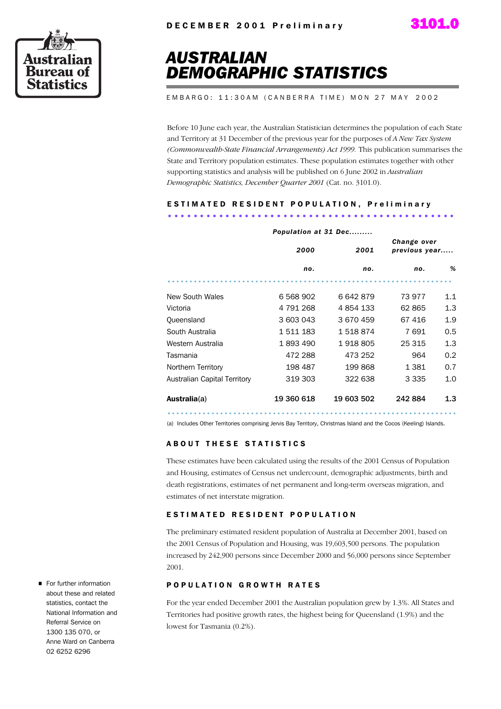



# *AUSTRALIAN DEMOGRAPHIC STATISTICS*

E M B A R G O : 11:30 A M ( C A N B E R R A T I M E ) M O N 2 7 M A Y 2002

Before 10 June each year, the Australian Statistician determines the population of each State and Territory at 31 December of the previous year for the purposes of *A New Tax System (Commonwealth-State Financial Arrangements) Act 1999.* This publication summarises the State and Territory population estimates. These population estimates together with other supporting statistics and analysis will be published on 6 June 2002 in *Australian Demographic Statistics, December Quarter 2001* (Cat. no. 3101.0).

# E S T I M A T E D R E S I D E N T P O P U L A T I O N , P r e l i m i n a r y .............................................

|                              | Population at 31 Dec |            |                              |     |
|------------------------------|----------------------|------------|------------------------------|-----|
|                              | 2000                 | 2001       | Change over<br>previous year |     |
|                              | no.                  | no.        | no.                          | %   |
|                              |                      |            |                              |     |
| New South Wales              | 6 568 902            | 6642879    | 73 977                       | 1.1 |
| Victoria                     | 4 791 268            | 4 854 133  | 62 865                       | 1.3 |
| Queensland                   | 3 603 043            | 3 670 459  | 67416                        | 1.9 |
| South Australia              | 1511183              | 1518874    | 7691                         | 0.5 |
| Western Australia            | 1893490              | 1918805    | 25 315                       | 1.3 |
| Tasmania                     | 472 288              | 473 252    | 964                          | 0.2 |
| Northern Territory           | 198 487              | 199868     | 1 3 8 1                      | 0.7 |
| Australian Capital Territory | 319 303              | 322 638    | 3 3 3 5                      | 1.0 |
| Australia(a)                 | 19 360 618           | 19 603 502 | 242884                       | 1.3 |

(a) Includes Other Territories comprising Jervis Bay Territory, Christmas Island and the Cocos (Keeling) Islands.

#### **ABOUT THESE STATISTICS**

These estimates have been calculated using the results of the 2001 Census of Population and Housing, estimates of Census net undercount, demographic adjustments, birth and death registrations, estimates of net permanent and long-term overseas migration, and estimates of net interstate migration.

#### ESTIMATED RESIDENT POPULATION

The preliminary estimated resident population of Australia at December 2001, based on the 2001 Census of Population and Housing, was 19,603,500 persons. The population increased by 242,900 persons since December 2000 and 56,000 persons since September 2001.

#### POPULATION GROWTH RATES

For the year ended December 2001 the Australian population grew by 1.3%. All States and Territories had positive growth rates, the highest being for Queensland (1.9%) and the lowest for Tasmania (0.2%).

For further information about these and related statistics, contact the National Information and Referral Service on 1300 135 070, or Anne Ward on Canberra 02 6252 6296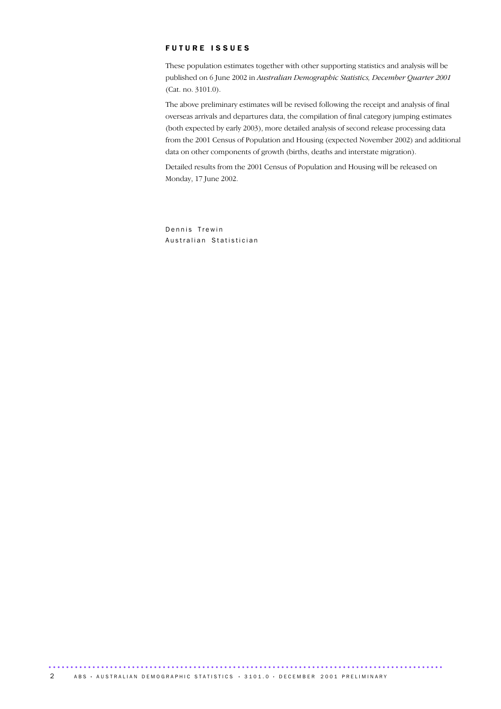#### FUTURE ISSUES

These population estimates together with other supporting statistics and analysis will be published on 6 June 2002 in *Australian Demographic Statistics, December Quarter 2001* (Cat. no. 3101.0).

The above preliminary estimates will be revised following the receipt and analysis of final overseas arrivals and departures data, the compilation of final category jumping estimates (both expected by early 2003), more detailed analysis of second release processing data from the 2001 Census of Population and Housing (expected November 2002) and additional data on other components of growth (births, deaths and interstate migration).

Detailed results from the 2001 Census of Population and Housing will be released on Monday, 17 June 2002.

Dennis Trewin Australian Statistician